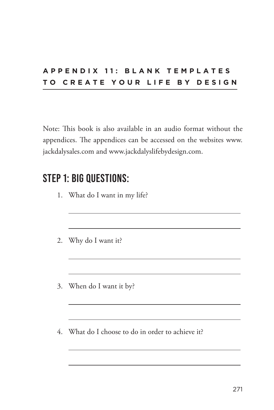#### **A P P E N D I X 1 1 : B L A N K T E M P L A T E S TO CREATE YOUR LIFE BY DESIGN**

Note: This book is also available in an audio format without the appendices. The appendices can be accessed on the websites www. jackdalysales.com and www.jackdalyslifebydesign.com.

### **STEP 1: BIG QUESTIONS:**

- 1. What do I want in my life?
- 2. Why do I want it?
- 3. When do I want it by?
- 4. What do I choose to do in order to achieve it?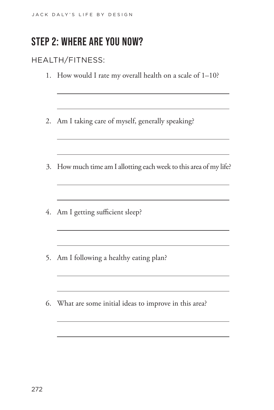# **STEP 2: WHERE ARE YOU NOW?**

#### HEALTH/FITNESS:

- 1. How would I rate my overall health on a scale of 1–10?
- 2. Am I taking care of myself, generally speaking?
- 3. How much time am I allotting each week to this area of my life?

the control of the control of the control of the control of the control of the control of

<u> 1980 - Johann Barn, mars an t-Amerikaansk ferskeider (</u>

the control of the control of the control of the control of the control of

<u> 1989 - Johann Barn, mars ann an t-Amhain Aonaich an t-Aonaich an t-Aonaich ann an t-Aonaich ann an t-Aonaich</u>

the control of the control of the control of the control of the control of the control of

the control of the control of the control of the control of the control of

- 4. Am I getting sufficient sleep?
- 5. Am I following a healthy eating plan?
- 6. What are some initial ideas to improve in this area?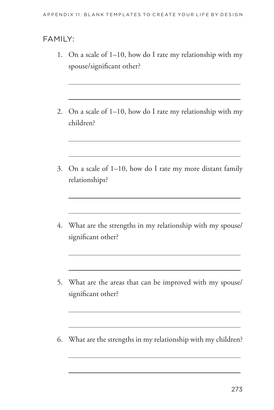#### FAMILY:

- 1. On a scale of 1-10, how do I rate my relationship with my spouse/significant other?
- 2. On a scale of  $1-10$ , how do I rate my relationship with my children?
- 3. On a scale of 1-10, how do I rate my more distant family relationships?
- 4. What are the strengths in my relationship with my spouse/ significant other?
- 5. What are the areas that can be improved with my spouse/ significant other?
- 6. What are the strengths in my relationship with my children?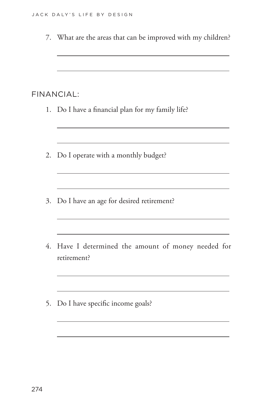7. What are the areas that can be improved with my children? FINANCIAL: 1. Do I have a financial plan for my family life? <u> 1980 - Johann Barn, amerikansk politiker (d. 1980)</u> 2. Do I operate with a monthly budget? the control of the control of the control of the control of the control of <u> 1980 - Johann Barbara, marka a shekara tsa 1980 - An tsa 1980 - An tsa 1980 - An tsa 1980 - An tsa 1980 - An</u> 3. Do I have an age for desired retirement? 4. Have I determined the amount of money needed for retirement? the control of the control of the control of the control of the control of the control of 5. Do I have specific income goals?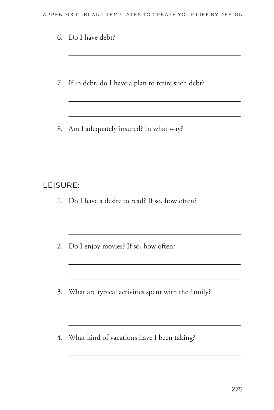|  |  |  |  | 7. If in debt, do I have a plan to retire such debt? |  |  |  |  |  |  |
|--|--|--|--|------------------------------------------------------|--|--|--|--|--|--|
|--|--|--|--|------------------------------------------------------|--|--|--|--|--|--|

8. Am I adequately insured? In what way?

#### LEISURE:

- 1. Do I have a desire to read? If so, how often?
- 2. Do I enjoy movies? If so, how often?
- 3. What are typical activities spent with the family?

the control of the control of the control of the control of the

4. What kind of vacations have I been taking?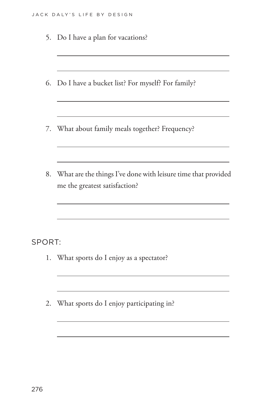|        | 5. Do I have a plan for vacations?                                                             |
|--------|------------------------------------------------------------------------------------------------|
|        | 6. Do I have a bucket list? For myself? For family?                                            |
|        | 7. What about family meals together? Frequency?                                                |
| 8.     | What are the things I've done with leisure time that provided<br>me the greatest satisfaction? |
| SPORT: | 1. What sports do I enjoy as a spectator?                                                      |
| 2.     | What sports do I enjoy participating in?                                                       |
|        |                                                                                                |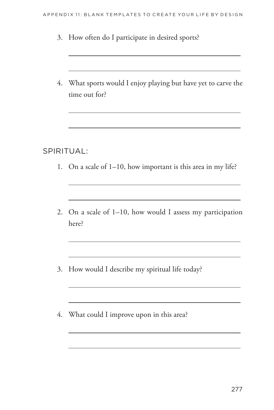- 3. How often do I participate in desired sports?
- 4. What sports would I enjoy playing but have yet to carve the time out for?

#### SPIRITUAL:

- 1. On a scale of 1–10, how important is this area in my life?
- 2. On a scale of 1-10, how would I assess my participation here?

the control of the control of the control of the control of the control of

<u> 1989 - Johann Stein, marwolaethau a bhann an t-Amhair an t-Amhair an t-Amhair an t-Amhair an t-Amhair an t-A</u>

- 3. How would I describe my spiritual life today?
- 4. What could I improve upon in this area?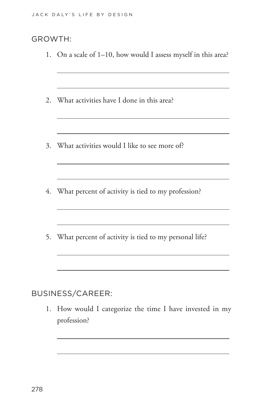#### GROWTH:

1. On a scale of 1–10, how would I assess myself in this area?

the control of the control of the control of the control of the control of

<u> 1980 - Johann Barn, fransk politik (f. 1980)</u>

the control of the control of the control of the control of the control of the control of

- 2. What activities have I done in this area?
- 3. What activities would I like to see more of?
- 4. What percent of activity is tied to my profession?
- 5. What percent of activity is tied to my personal life?

BUSINESS/CAREER:

1. How would I categorize the time I have invested in my profession?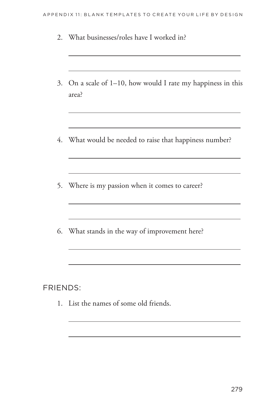- 2. What businesses/roles have I worked in? 3. On a scale of 1-10, how would I rate my happiness in this area? <u> 1980 - Johann Stoff, deutscher Stoff, der Stoff, der Stoff, der Stoff, der Stoff, der Stoff, der Stoff, der S</u> 4. What would be needed to raise that happiness number? the control of the control of the control of the control of the control of the control of 5. Where is my passion when it comes to career? <u> 1989 - Johann John Stein, markin film yn y brening yn y brening yn y brening yn y brening yn y brening yn y b</u> 6. What stands in the way of improvement here? **FRIENDS:** 
	- 1. List the names of some old friends.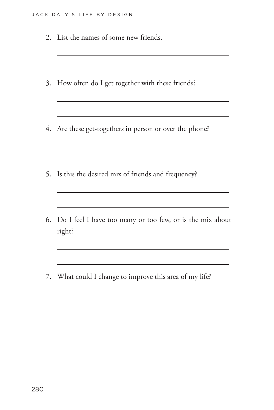2. List the names of some new friends.

| 3. How often do I get together with these friends?                     |
|------------------------------------------------------------------------|
| 4. Are these get-togethers in person or over the phone?                |
| 5. Is this the desired mix of friends and frequency?                   |
| 6. Do I feel I have too many or too few, or is the mix about<br>right? |

7. What could I change to improve this area of my life?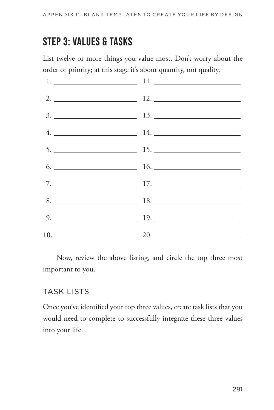# **STEP 3: VALUES & TASKS**

List twelve or more things you value most. Don't worry about the order or priority; at this stage it's about quantity, not quality.



Now, review the above listing, and circle the top three most important to you.

#### TASK LISTS

Once you've identified your top three values, create task lists that you would need to complete to successfully integrate these three values into your life.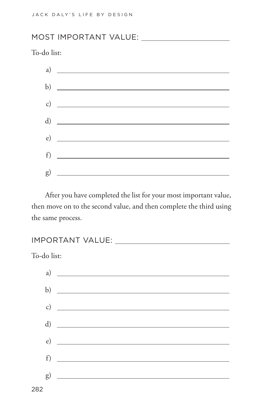#### MOST IMPORTANT VALUE:

To-do list:



After you have completed the list for your most important value, then move on to the second value, and then complete the third using the same process.

IMPORTANT VALUE:

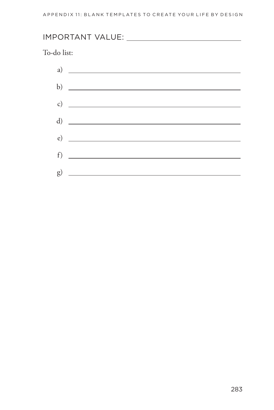# To-do list:  $\left( \begin{array}{ccc} 1 & 1 \ 0 & 1 \end{array} \right)$ b)  $\overline{\phantom{a}}$ c)  $\overline{\phantom{a}}$  $\mathbf d$

 $\left( \begin{array}{c} 0 \\ 0 \end{array} \right)$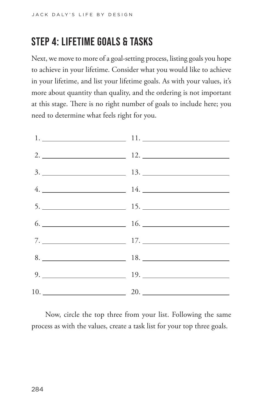# **STEP 4: LIFETIME GOALS & TASKS**

Next, we move to more of a goal-setting process, listing goals you hope to achieve in your lifetime. Consider what you would like to achieve in your lifetime, and list your lifetime goals. As with your values, it's more about quantity than quality, and the ordering is not important at this stage. There is no right number of goals to include here; you need to determine what feels right for you.



Now, circle the top three from your list. Following the same process as with the values, create a task list for your top three goals.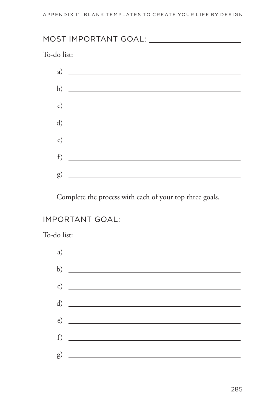To-do list:



Complete the process with each of your top three goals.

### 

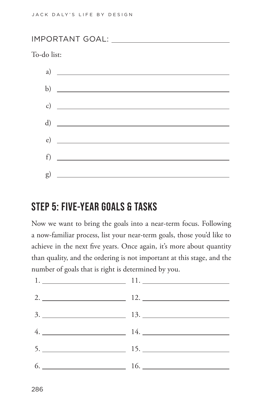IMPORTANT GOAL:

To-do list:



### **STEP 5: FIVE-YEAR GOALS & TASKS**

Now we want to bring the goals into a near-term focus. Following a now-familiar process, list your near-term goals, those you'd like to achieve in the next five years. Once again, it's more about quantity than quality, and the ordering is not important at this stage, and the number of goals that is right is determined by you.

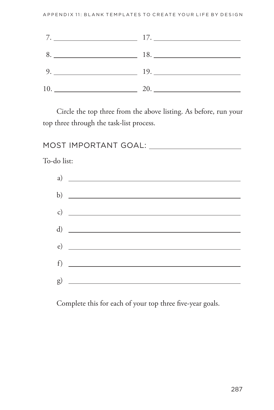|                        | $7.$ $17.$ |
|------------------------|------------|
|                        | 8. 18.     |
| 9. $\qquad \qquad$ 19. |            |
|                        | 10.20.     |

Circle the top three from the above listing. As before, run your top three through the task-list process.

To-do list:

| a) |                    |
|----|--------------------|
|    | b) $\qquad \qquad$ |
|    | c) $\qquad \qquad$ |
|    |                    |
|    |                    |
|    | f)                 |
| g) |                    |

Complete this for each of your top three five-year goals.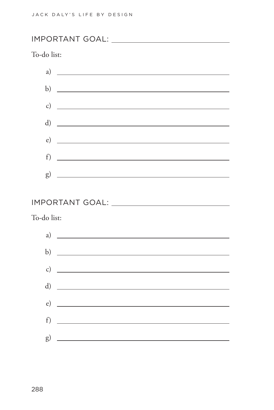IMPORTANT GOAL:

#### To-do list:



#### IMPORTANT GOAL:

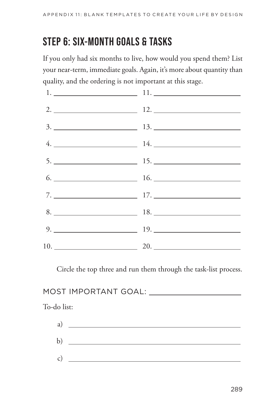# **STEP 6: SIX-MONTH GOALS & TASKS**

If you only had six months to live, how would you spend them? List your near-term, immediate goals. Again, it's more about quantity than quality, and the ordering is not important at this stage.



Circle the top three and run them through the task-list process.

#### MOST IMPORTANT GOAL:

| a)           |  |
|--------------|--|
|              |  |
| $\mathbf{b}$ |  |
|              |  |
| $\mathsf{C}$ |  |
|              |  |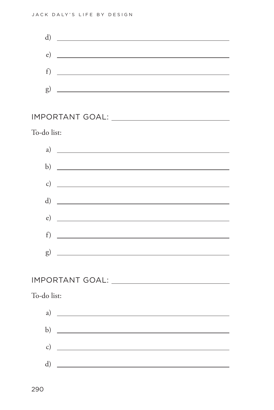

#### IMPORTANT GOAL:

To-do list:



#### IMPORTANT GOAL:

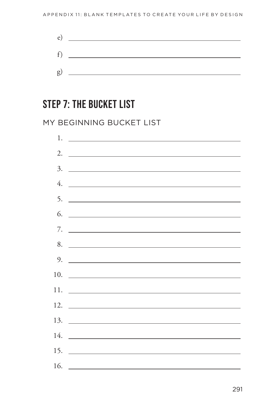

## **STEP 7: THE BUCKET LIST**

#### MY BEGINNING BUCKET LIST

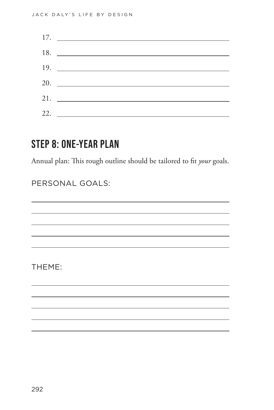| 17. |
|-----|
|     |
| 19. |
| 20. |
|     |
| 22. |

### **STEP 8: ONE-YEAR PLAN**

Annual plan: This rough outline should be tailored to fit *your* goals.

PERSONAL GOALS:

THEME: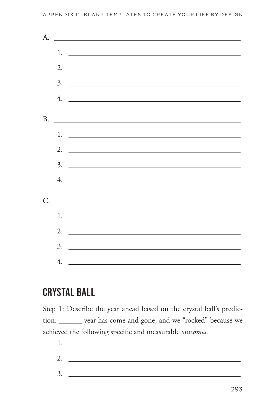#### APPENDIX 11: BLANK TEMPLATES TO CREATE YOUR LIFE BY DESIGN

| <u> Alexandria de la contrada de la contrada de la contrada de la contrada de la contrada de la contrada de la c</u>                                                                                                                                                                                                   |
|------------------------------------------------------------------------------------------------------------------------------------------------------------------------------------------------------------------------------------------------------------------------------------------------------------------------|
|                                                                                                                                                                                                                                                                                                                        |
| 2. $\overline{\phantom{a}}$                                                                                                                                                                                                                                                                                            |
|                                                                                                                                                                                                                                                                                                                        |
|                                                                                                                                                                                                                                                                                                                        |
|                                                                                                                                                                                                                                                                                                                        |
| <u> Alexandria de la contrada de la contrada de la contrada de la contrada de la contrada de la contrada de la c</u>                                                                                                                                                                                                   |
| $1.$ $\overline{\phantom{a}}$                                                                                                                                                                                                                                                                                          |
| 2. $\frac{1}{2}$ $\frac{1}{2}$ $\frac{1}{2}$ $\frac{1}{2}$ $\frac{1}{2}$ $\frac{1}{2}$ $\frac{1}{2}$ $\frac{1}{2}$ $\frac{1}{2}$ $\frac{1}{2}$ $\frac{1}{2}$ $\frac{1}{2}$ $\frac{1}{2}$ $\frac{1}{2}$ $\frac{1}{2}$ $\frac{1}{2}$ $\frac{1}{2}$ $\frac{1}{2}$ $\frac{1}{2}$ $\frac{1}{2}$ $\frac{1}{2}$ $\frac{1}{2}$ |
|                                                                                                                                                                                                                                                                                                                        |
|                                                                                                                                                                                                                                                                                                                        |
| 4. $\overline{\phantom{a}}$                                                                                                                                                                                                                                                                                            |
|                                                                                                                                                                                                                                                                                                                        |
| $1.$ $\overline{\phantom{a}}$                                                                                                                                                                                                                                                                                          |
|                                                                                                                                                                                                                                                                                                                        |
| 2. $\overline{\phantom{a}}$                                                                                                                                                                                                                                                                                            |
|                                                                                                                                                                                                                                                                                                                        |
|                                                                                                                                                                                                                                                                                                                        |
|                                                                                                                                                                                                                                                                                                                        |

### **CRYSTAL BALL**

Step 1: Describe the year ahead based on the crystal ball's prediction. \_\_\_\_\_\_\_ year has come and gone, and we "rocked" because we achieved the following specific and measurable outcomes.

 $1.$  $2.$  $3.$